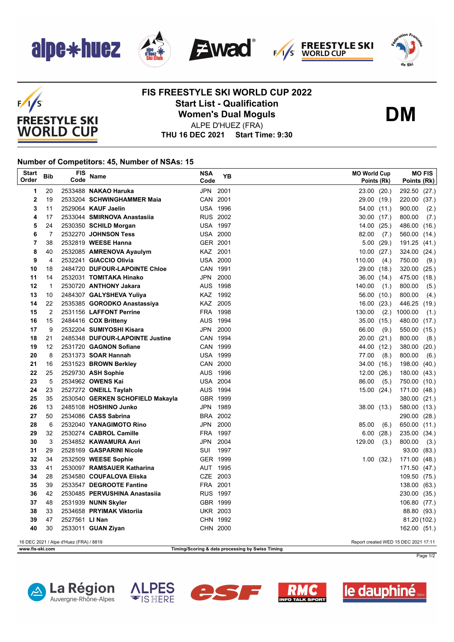

 $F/1/S$ 

**FREESTYLE SKI WORLD CUP** 









## **FIS FREESTYLE SKI WORLD CUP 2022 Start List - Qualification Women's Dual Moguls**



ALPE D'HUEZ (FRA)

**THU 16 DEC 2021 Start Time: 9:30**

## **Number of Competitors: 45, Number of NSAs: 15**

| <b>Start</b><br>Order                                                          | Bib          | FIS<br>Code    | Name                                                 | <b>NSA</b><br>Code          | YΒ   |        | <b>MO World Cup</b><br>Points (Rk) | Points (Rk)  | <b>MO FIS</b> |
|--------------------------------------------------------------------------------|--------------|----------------|------------------------------------------------------|-----------------------------|------|--------|------------------------------------|--------------|---------------|
| 1                                                                              | 20           |                | 2533488 NAKAO Haruka                                 | JPN 2001                    |      |        | 23.00 (20.)                        | 292.50 (27.) |               |
| $\overline{2}$                                                                 | 19           |                | 2533204 SCHWINGHAMMER Maia                           | CAN 2001                    |      |        | 29.00<br>(19.)                     | 220.00       | (37.)         |
| 3                                                                              | 11           |                | 2529064 KAUF Jaelin                                  | <b>USA 1996</b>             |      |        | 54.00 (11.)                        | 900.00       | (2.)          |
| 4                                                                              | 17           |                | 2533044 SMIRNOVA Anastasiia                          | <b>RUS 2002</b>             |      |        | $30.00$ $(17.)$                    | 800.00       | (7)           |
| 5                                                                              | 24           |                | 2530350 SCHILD Morgan                                | <b>USA 1997</b>             |      |        | 14.00<br>(25.)                     | 486.00 (16.) |               |
| 6                                                                              | 7            |                | 2532270 JOHNSON Tess                                 | <b>USA 2000</b>             |      |        | 82.00<br>(7.)                      | 560.00 (14.) |               |
| 7                                                                              | 38           |                | 2532819 WEESE Hanna                                  | GER 2001                    |      |        | 5.00<br>(29.)                      | 191.25 (41.) |               |
| 8                                                                              | 40           |                | 2532085 AMRENOVA Ayaulym                             | KAZ 2001                    |      |        | 10.00<br>(27.)                     | 324.00       | (24.)         |
| 9                                                                              | 4            |                | 2532241 GIACCIO Olivia                               | <b>USA 2000</b>             |      | 110.00 | (4.)                               | 750.00       | (9.)          |
| 10                                                                             | 18           |                | 2484720 DUFOUR-LAPOINTE Chloe                        | CAN 1991                    |      |        | 29.00<br>(18.)                     | 320.00 (25.) |               |
| 11                                                                             | 14           |                | 2532031 TOMITAKA Hinako                              | JPN 2000                    |      |        | 36.00<br>(14.)                     | 475.00 (18.) |               |
| 12                                                                             | $\mathbf{1}$ |                | 2530720 ANTHONY Jakara                               | AUS 1998                    |      | 140.00 | (1.)                               | 800.00       | (5.)          |
| 13                                                                             | 10           |                | 2484307 GALYSHEVA Yuliya                             | KAZ 1992                    |      |        | 56.00<br>(10.)                     | 800.00       | (4.)          |
| 14                                                                             | 22           |                | 2535385 GORODKO Anastassiya                          | KAZ 2005                    |      |        | 16.00<br>(23.)                     | 446.25 (19.) |               |
| 15                                                                             | 2            |                | 2531156 LAFFONT Perrine                              | FRA 1998                    |      | 130.00 | (2.)                               | 1000.00      | (1.)          |
| 16                                                                             | 15           |                | 2484416 COX Britteny                                 | AUS 1994                    |      |        | 35.00<br>(15.)                     | 480.00 (17.) |               |
| 17                                                                             | 9            |                | 2532204 SUMIYOSHI Kisara                             | JPN 2000                    |      |        | 66.00<br>(9.)                      | 550.00 (15.) |               |
| 18                                                                             | 21           |                | 2485348 DUFOUR-LAPOINTE Justine                      | CAN 1994                    |      |        | 20.00<br>(21.)                     | 800.00       | (8.)          |
| 19                                                                             | 12           |                | 2531720 GAGNON Sofiane                               | CAN 1999                    |      |        | 44.00<br>(12.)                     | 380.00 (20.) |               |
| 20                                                                             | 8            |                | 2531373 SOAR Hannah                                  | <b>USA 1999</b>             |      |        | 77.00<br>(8.)                      | 800.00       | (6.)          |
| 21                                                                             | 16           |                | 2531523 BROWN Berkley                                | CAN 2000                    |      |        | 34.00<br>(16.)                     | 198.00 (40.) |               |
| 22                                                                             | 25           |                | 2529730 ASH Sophie                                   | AUS 1996                    |      |        | 12.00<br>(26.)                     | 180.00 (43.) |               |
| 23                                                                             | 5            |                | 2534962 OWENS Kai                                    | <b>USA 2004</b>             |      |        | 86.00<br>(5.)                      | 750.00 (10.) |               |
| 24                                                                             | 23           |                | 2527272 ONEILL Taylah                                | AUS 1994                    |      |        | 15.00<br>(24.)                     | 171.00 (48.) |               |
| 25                                                                             | 35           |                | 2530540 GERKEN SCHOFIELD Makayla                     | GBR 1999                    |      |        |                                    | 380.00 (21.) |               |
| 26                                                                             | 13           |                | 2485108 HOSHINO Junko                                | JPN 1989                    |      |        | 38.00 (13.)                        | 580.00 (13.) |               |
| 27                                                                             | 50           |                | 2534086 CASS Sabrina                                 | BRA 2002                    |      |        |                                    | 290.00 (28.) |               |
| 28                                                                             | 6            |                | 2532040 YANAGIMOTO Rino                              | JPN                         | 2000 |        | 85.00<br>(6.)                      | 650.00 (11.) |               |
| 29                                                                             | 32           |                | 2530274 CABROL Camille                               | FRA 1997                    |      |        | 6.00<br>(28.)                      | 235.00 (34.) |               |
| 30                                                                             | 3            |                | 2534852 KAWAMURA Anri                                | JPN 2004                    |      | 129.00 | (3.)                               | 800.00       | (3.)          |
| 31                                                                             | 29           |                | 2528169 GASPARINI Nicole                             | SUI                         | 1997 |        |                                    |              | 93.00 (83.)   |
| 32                                                                             | 34           |                | 2532509 WEESE Sophie                                 | GER 1999                    |      |        | 1.00<br>(32.)                      | 171.00 (48.) |               |
| 33                                                                             | 41           |                | 2530097 RAMSAUER Katharina                           | AUT 1995                    |      |        |                                    | 171.50 (47.) |               |
| 34<br>35                                                                       | 28<br>39     |                | 2534580 COUFALOVA Eliska<br>2533547 DEGROOTE Fantine | CZE 2003<br>FRA 2001        |      |        |                                    | 109.50 (75.) |               |
| 36                                                                             | 42           |                | 2530485 PERVUSHINA Anastasiia                        | <b>RUS 1997</b>             |      |        |                                    | 138.00 (63.) |               |
| 37                                                                             | 48           |                | 2531939 NUNN Skyler                                  | GBR 1999                    |      |        |                                    | 230.00 (35.) |               |
| 38                                                                             | 33           |                |                                                      |                             |      |        |                                    | 106.80 (77.) |               |
| 39                                                                             | 47           | 2527561 LI Nan | 2534658 PRYIMAK Viktoriia                            | <b>UKR 2003</b><br>CHN 1992 |      |        |                                    |              | 88.80 (93.)   |
| 40                                                                             | 30           |                | 2533011 GUAN Ziyan                                   | CHN 2000                    |      |        |                                    | 162.00 (51.) | 81.20 (102.)  |
|                                                                                |              |                |                                                      |                             |      |        |                                    |              |               |
| 16 DEC 2021 / Alpe d'Huez (FRA) / 8819<br>Report created WED 15 DEC 2021 17:11 |              |                |                                                      |                             |      |        |                                    |              |               |
| www.fis-ski.com<br>Timing/Scoring & data processing by Swiss Timing            |              |                |                                                      |                             |      |        |                                    |              |               |

Page 1/2